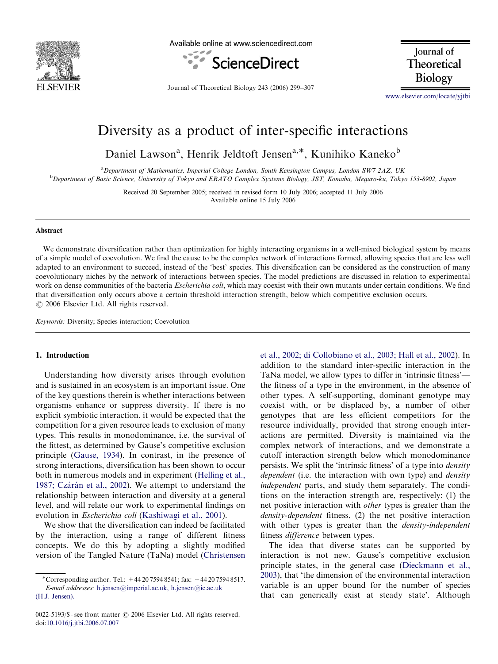

Available online at www.sciencedirect.com



Journal of Theoretical **Biology** 

Journal of Theoretical Biology 243 (2006) 299–307

<www.elsevier.com/locate/yjtbi>

# Diversity as a product of inter-specific interactions

Daniel Lawson<sup>a</sup>, Henrik Jeldtoft Jensen<sup>a,\*</sup>, Kunihiko Kaneko<sup>b</sup>

a Department of Mathematics, Imperial College London, South Kensington Campus, London SW7 2AZ, UK **b** Department of Basic Science, University of Tokyo and ERATO Complex Systems Biology, JST, Komaba, Meguro-ku, Tokyo 153-8902, Japan

> Received 20 September 2005; received in revised form 10 July 2006; accepted 11 July 2006 Available online 15 July 2006

#### Abstract

We demonstrate diversification rather than optimization for highly interacting organisms in a well-mixed biological system by means of a simple model of coevolution. We find the cause to be the complex network of interactions formed, allowing species that are less well adapted to an environment to succeed, instead of the 'best' species. This diversification can be considered as the construction of many coevolutionary niches by the network of interactions between species. The model predictions are discussed in relation to experimental work on dense communities of the bacteria *Escherichia coli*, which may coexist with their own mutants under certain conditions. We find that diversification only occurs above a certain threshold interaction strength, below which competitive exclusion occurs.  $C$  2006 Elsevier Ltd. All rights reserved.

Keywords: Diversity; Species interaction; Coevolution

#### 1. Introduction

Understanding how diversity arises through evolution and is sustained in an ecosystem is an important issue. One of the key questions therein is whether interactions between organisms enhance or suppress diversity. If there is no explicit symbiotic interaction, it would be expected that the competition for a given resource leads to exclusion of many types. This results in monodominance, i.e. the survival of the fittest, as determined by Gause's competitive exclusion principle [\(Gause, 1934](#page-7-0)). In contrast, in the presence of strong interactions, diversification has been shown to occur both in numerous models and in experiment [\(Helling et al.,](#page-7-0) 1987; Czárán et al., 2002). We attempt to understand the relationship between interaction and diversity at a general level, and will relate our work to experimental findings on evolution in Escherichia coli [\(Kashiwagi et al., 2001\)](#page-8-0).

We show that the diversification can indeed be facilitated by the interaction, using a range of different fitness concepts. We do this by adopting a slightly modified version of the Tangled Nature (TaNa) model ([Christensen](#page-7-0) [et al., 2002; di Collobiano et al., 2003; Hall et al., 2002](#page-7-0)). In addition to the standard inter-specific interaction in the TaNa model, we allow types to differ in 'intrinsic fitness' the fitness of a type in the environment, in the absence of other types. A self-supporting, dominant genotype may coexist with, or be displaced by, a number of other genotypes that are less efficient competitors for the resource individually, provided that strong enough interactions are permitted. Diversity is maintained via the complex network of interactions, and we demonstrate a cutoff interaction strength below which monodominance persists. We split the 'intrinsic fitness' of a type into density dependent (i.e. the interaction with own type) and *density* independent parts, and study them separately. The conditions on the interaction strength are, respectively: (1) the net positive interaction with other types is greater than the density-dependent fitness, (2) the net positive interaction with other types is greater than the *density-independent* fitness difference between types.

The idea that diverse states can be supported by interaction is not new. Gause's competitive exclusion principle states, in the general case [\(Dieckmann et al.,](#page-7-0) [2003](#page-7-0)), that 'the dimension of the environmental interaction variable is an upper bound for the number of species that can generically exist at steady state'. Although

<sup>\*</sup>Corresponding author. Tel.:  $+442075948541$ ; fax:  $+442075948517$ . E-mail addresses: [h.jensen@imperial.ac.uk, h.jensen@ic.ac.uk](mailto:h.jensen@imperial.ac.uk,) [\(H.J. Jensen\).](mailto:h.jensen@imperial.ac.uk,)

<sup>0022-5193/\$ -</sup> see front matter © 2006 Elsevier Ltd. All rights reserved. doi:[10.1016/j.jtbi.2006.07.007](dx.doi.org/10.1016/j.jtbi.2006.07.007)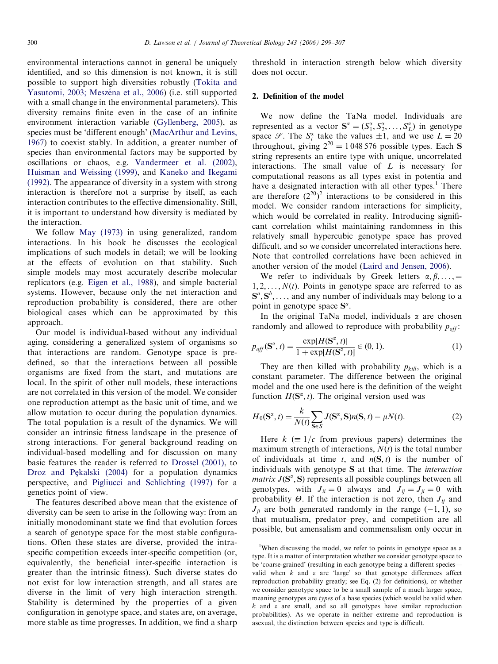environmental interactions cannot in general be uniquely identified, and so this dimension is not known, it is still possible to support high diversities robustly ([Tokita and](#page-8-0) Yasutomi, 2003; Meszéna et al., 2006) (i.e. still supported with a small change in the environmental parameters). This diversity remains finite even in the case of an infinite environment interaction variable [\(Gyllenberg, 2005](#page-7-0)), as species must be 'different enough' ([MacArthur and Levins,](#page-8-0) [1967\)](#page-8-0) to coexist stably. In addition, a greater number of species than environmental factors may be supported by oscillations or chaos, e.g. [Vandermeer et al. \(2002\)](#page-8-0), [Huisman and Weissing \(1999\)](#page-7-0), and [Kaneko and Ikegami](#page-7-0) [\(1992\)](#page-7-0). The appearance of diversity in a system with strong interaction is therefore not a surprise by itself, as each interaction contributes to the effective dimensionality. Still, it is important to understand how diversity is mediated by the interaction.

We follow [May \(1973\)](#page-8-0) in using generalized, random interactions. In his book he discusses the ecological implications of such models in detail; we will be looking at the effects of evolution on that stability. Such simple models may most accurately describe molecular replicators (e.g. [Eigen et al., 1988\)](#page-7-0), and simple bacterial systems. However, because only the net interaction and reproduction probability is considered, there are other biological cases which can be approximated by this approach.

Our model is individual-based without any individual aging, considering a generalized system of organisms so that interactions are random. Genotype space is predefined, so that the interactions between all possible organisms are fixed from the start, and mutations are local. In the spirit of other null models, these interactions are not correlated in this version of the model. We consider one reproduction attempt as the basic unit of time, and we allow mutation to occur during the population dynamics. The total population is a result of the dynamics. We will consider an intrinsic fitness landscape in the presence of strong interactions. For general background reading on individual-based modelling and for discussion on many basic features the reader is referred to [Drossel \(2001\)](#page-7-0), to [Droz and Pe](#page-7-0)[kalski \(2004\)](#page-7-0) for a population dynamics perspective, and [Pigliucci and Schlichting \(1997\)](#page-8-0) for a genetics point of view.

The features described above mean that the existence of diversity can be seen to arise in the following way: from an initially monodominant state we find that evolution forces a search of genotype space for the most stable configurations. Often these states are diverse, provided the intraspecific competition exceeds inter-specific competition (or, equivalently, the beneficial inter-specific interaction is greater than the intrinsic fitness). Such diverse states do not exist for low interaction strength, and all states are diverse in the limit of very high interaction strength. Stability is determined by the properties of a given configuration in genotype space, and states are, on average, more stable as time progresses. In addition, we find a sharp

threshold in interaction strength below which diversity does not occur.

#### 2. Definition of the model

We now define the TaNa model. Individuals are represented as a vector  $S^{\alpha} = (S_1^{\alpha}, S_2^{\alpha}, \dots, S_L^{\alpha})$  in genotype space  $\mathscr{S}$ . The  $S_i^{\alpha}$  take the values  $\pm 1$ , and we use  $L = 20$ throughout, giving  $2^{20} = 1048576$  possible types. Each S string represents an entire type with unique, uncorrelated interactions. The small value of  $L$  is necessary for computational reasons as all types exist in potentia and have a designated interaction with all other types.<sup>1</sup> There are therefore  $(2^{20})^2$  interactions to be considered in this model. We consider random interactions for simplicity, which would be correlated in reality. Introducing significant correlation whilst maintaining randomness in this relatively small hypercubic genotype space has proved difficult, and so we consider uncorrelated interactions here. Note that controlled correlations have been achieved in another version of the model ([Laird and Jensen, 2006](#page-8-0)).

We refer to individuals by Greek letters  $\alpha, \beta, \ldots$ , =  $1, 2, \ldots, N(t)$ . Points in genotype space are referred to as  $S^a, S^b, \ldots$ , and any number of individuals may belong to a point in genotype space  $S^a$ .

In the original TaNa model, individuals  $\alpha$  are chosen randomly and allowed to reproduce with probability  $p_{off}$ :

$$
p_{off}(\mathbf{S}^{\alpha}, t) = \frac{\exp[H(\mathbf{S}^{\alpha}, t)]}{1 + \exp[H(\mathbf{S}^{\alpha}, t)]} \in (0, 1).
$$
 (1)

They are then killed with probability  $p_{kill}$ , which is a constant parameter. The difference between the original model and the one used here is the definition of the weight function  $H(\mathbf{S}^{\alpha}, t)$ . The original version used was

$$
H_0(\mathbf{S}^{\alpha}, t) = \frac{k}{N(t)} \sum_{\mathbf{S} \in S} J(\mathbf{S}^{\alpha}, \mathbf{S}) n(\mathbf{S}, t) - \mu N(t).
$$
 (2)

Here  $k \equiv 1/c$  from previous papers) determines the maximum strength of interactions,  $N(t)$  is the total number of individuals at time t, and  $n(S, t)$  is the number of individuals with genotype S at that time. The interaction matrix  $J(\mathbf{S}^{\alpha}, \mathbf{S})$  represents all possible couplings between all genotypes, with  $J_{ii} = 0$  always and  $J_{ij} = J_{ji} = 0$  with probability  $\Theta$ . If the interaction is not zero, then  $J_{ij}$  and  $J_{ii}$  are both generated randomly in the range  $(-1, 1)$ , so that mutualism, predator–prey, and competition are all possible, but amensalism and commensalism only occur in

<sup>&</sup>lt;sup>1</sup>When discussing the model, we refer to points in genotype space as a type. It is a matter of interpretation whether we consider genotype space to be 'coarse-grained' (resulting in each genotype being a different species valid when  $k$  and  $\varepsilon$  are 'large' so that genotype differences affect reproduction probability greatly; see Eq. (2) for definitions), or whether we consider genotype space to be a small sample of a much larger space, meaning genotypes are types of a base species (which would be valid when  $k$  and  $\varepsilon$  are small, and so all genotypes have similar reproduction probabilities). As we operate in neither extreme and reproduction is asexual, the distinction between species and type is difficult.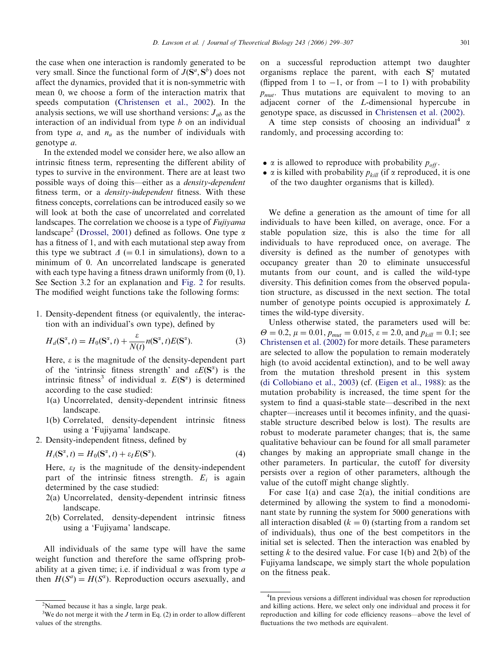the case when one interaction is randomly generated to be very small. Since the functional form of  $J(\mathbf{S}^a, \mathbf{S}^b)$  does not affect the dynamics, provided that it is non-symmetric with mean 0, we choose a form of the interaction matrix that speeds computation [\(Christensen et al., 2002\)](#page-7-0). In the analysis sections, we will use shorthand versions:  $J_{ab}$  as the interaction of an individual from type  $b$  on an individual from type a, and  $n_a$  as the number of individuals with genotype a.

In the extended model we consider here, we also allow an intrinsic fitness term, representing the different ability of types to survive in the environment. There are at least two possible ways of doing this—either as a density-dependent fitness term, or a *density-independent* fitness. With these fitness concepts, correlations can be introduced easily so we will look at both the case of uncorrelated and correlated landscapes. The correlation we choose is a type of *Fujiyama* landscape<sup>2</sup> [\(Drossel, 2001\)](#page-7-0) defined as follows. One type  $\alpha$ has a fitness of 1, and with each mutational step away from this type we subtract  $\Delta$  (= 0.1 in simulations), down to a minimum of 0. An uncorrelated landscape is generated with each type having a fitness drawn uniformly from  $(0, 1)$ . See Section 3.2 for an explanation and [Fig. 2](#page-4-0) for results. The modified weight functions take the following forms:

1. Density-dependent fitness (or equivalently, the interaction with an individual's own type), defined by

$$
H_d(\mathbf{S}^\alpha, t) = H_0(\mathbf{S}^\alpha, t) + \frac{\varepsilon}{N(t)} n(\mathbf{S}^\alpha, t) E(\mathbf{S}^\alpha).
$$
 (3)

Here,  $\varepsilon$  is the magnitude of the density-dependent part of the 'intrinsic fitness strength' and  $\varepsilon E(S^{\alpha})$  is the intrinsic fitness<sup>3</sup> of individual  $\alpha$ .  $E(S^{\alpha})$  is determined according to the case studied:

- 1(a) Uncorrelated, density-dependent intrinsic fitness landscape.
- 1(b) Correlated, density-dependent intrinsic fitness using a 'Fujiyama' landscape.
- 2. Density-independent fitness, defined by

$$
H_i(\mathbf{S}^\alpha, t) = H_0(\mathbf{S}^\alpha, t) + \varepsilon_I E(\mathbf{S}^\alpha). \tag{4}
$$

Here,  $\varepsilon_I$  is the magnitude of the density-independent part of the intrinsic fitness strength.  $E_i$  is again determined by the case studied:

- 2(a) Uncorrelated, density-dependent intrinsic fitness landscape.
- 2(b) Correlated, density-dependent intrinsic fitness using a 'Fujiyama' landscape.

All individuals of the same type will have the same weight function and therefore the same offspring probability at a given time; i.e. if individual  $\alpha$  was from type  $\alpha$ then  $H(S^a) = H(S^a)$ . Reproduction occurs asexually, and

on a successful reproduction attempt two daughter organisms replace the parent, with each  $S_i^{\alpha}$  mutated (flipped from 1 to  $-1$ , or from  $-1$  to 1) with probability  $p_{mut}$ . Thus mutations are equivalent to moving to an adjacent corner of the L-dimensional hypercube in genotype space, as discussed in [Christensen et al. \(2002\).](#page-7-0)

A time step consists of choosing an individual<sup>4</sup>  $\alpha$ randomly, and processing according to:

- $\alpha$  is allowed to reproduce with probability  $p_{off}$ .
- $\alpha$  is killed with probability  $p_{kill}$  (if  $\alpha$  reproduced, it is one of the two daughter organisms that is killed).

We define a generation as the amount of time for all individuals to have been killed, on average, once. For a stable population size, this is also the time for all individuals to have reproduced once, on average. The diversity is defined as the number of genotypes with occupancy greater than 20 to eliminate unsuccessful mutants from our count, and is called the wild-type diversity. This definition comes from the observed population structure, as discussed in the next section. The total number of genotype points occupied is approximately L times the wild-type diversity.

Unless otherwise stated, the parameters used will be:  $\Theta = 0.2$ ,  $\mu = 0.01$ ,  $p_{mut} = 0.015$ ,  $\varepsilon = 2.0$ , and  $p_{kill} = 0.1$ ; see [Christensen et al. \(2002\)](#page-7-0) for more details. These parameters are selected to allow the population to remain moderately high (to avoid accidental extinction), and to be well away from the mutation threshold present in this system ([di Collobiano et al., 2003](#page-7-0)) (cf. [\(Eigen et al., 1988\)](#page-7-0): as the mutation probability is increased, the time spent for the system to find a quasi-stable state—described in the next chapter—increases until it becomes infinity, and the quasistable structure described below is lost). The results are robust to moderate parameter changes; that is, the same qualitative behaviour can be found for all small parameter changes by making an appropriate small change in the other parameters. In particular, the cutoff for diversity persists over a region of other parameters, although the value of the cutoff might change slightly.

For case  $1(a)$  and case  $2(a)$ , the initial conditions are determined by allowing the system to find a monodominant state by running the system for 5000 generations with all interaction disabled  $(k = 0)$  (starting from a random set of individuals), thus one of the best competitors in the initial set is selected. Then the interaction was enabled by setting k to the desired value. For case  $1(b)$  and  $2(b)$  of the Fujiyama landscape, we simply start the whole population on the fitness peak.

<sup>&</sup>lt;sup>2</sup>Named because it has a single, large peak.

<sup>&</sup>lt;sup>3</sup>We do not merge it with the *J* term in Eq. (2) in order to allow different values of the strengths.

<sup>&</sup>lt;sup>4</sup>In previous versions a different individual was chosen for reproduction and killing actions. Here, we select only one individual and process it for reproduction and killing for code efficiency reasons—above the level of fluctuations the two methods are equivalent.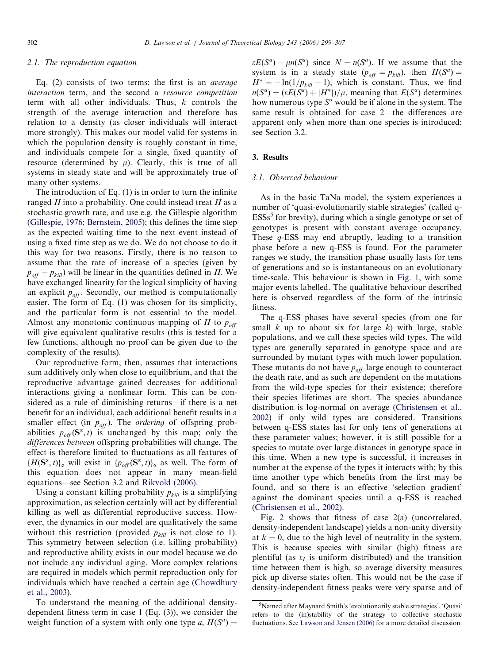#### 2.1. The reproduction equation

Eq. (2) consists of two terms: the first is an average interaction term, and the second a resource competition term with all other individuals. Thus, k controls the strength of the average interaction and therefore has relation to a density (as closer individuals will interact more strongly). This makes our model valid for systems in which the population density is roughly constant in time, and individuals compete for a single, fixed quantity of resource (determined by  $\mu$ ). Clearly, this is true of all systems in steady state and will be approximately true of many other systems.

The introduction of Eq. (1) is in order to turn the infinite ranged  $H$  into a probability. One could instead treat  $H$  as a stochastic growth rate, and use e.g. the Gillespie algorithm [\(Gillespie, 1976; Bernstein, 2005\)](#page-7-0); this defines the time step as the expected waiting time to the next event instead of using a fixed time step as we do. We do not choose to do it this way for two reasons. Firstly, there is no reason to assume that the rate of increase of a species (given by  $p_{off} - p_{kill}$ ) will be linear in the quantities defined in H. We have exchanged linearity for the logical simplicity of having an explicit  $p_{\text{off}}$ . Secondly, our method is computationally easier. The form of Eq. (1) was chosen for its simplicity, and the particular form is not essential to the model. Almost any monotonic continuous mapping of H to  $p_{\text{off}}$ will give equivalent qualitative results (this is tested for a few functions, although no proof can be given due to the complexity of the results).

Our reproductive form, then, assumes that interactions sum additively only when close to equilibrium, and that the reproductive advantage gained decreases for additional interactions giving a nonlinear form. This can be considered as a rule of diminishing returns—if there is a net benefit for an individual, each additional benefit results in a smaller effect (in  $p_{off}$ ). The *ordering* of offspring probabilities  $p_{off}(\mathbf{S}^{\alpha}, t)$  is unchanged by this map; only the differences between offspring probabilities will change. The effect is therefore limited to fluctuations as all features of  $\{H(\mathbf{S}^{\alpha}, t)\}_{\alpha}$  will exist in  $\{p_{off}(\mathbf{S}^{\alpha}, t)\}_{\alpha}$  as well. The form of this equation does not appear in many mean-field equations—see Section 3.2 and [Rikvold \(2006\)](#page-8-0).

Using a constant killing probability  $p_{kill}$  is a simplifying approximation, as selection certainly will act by differential killing as well as differential reproductive success. However, the dynamics in our model are qualitatively the same without this restriction (provided  $p_{kill}$  is not close to 1). This symmetry between selection (i.e. killing probability) and reproductive ability exists in our model because we do not include any individual aging. More complex relations are required in models which permit reproduction only for individuals which have reached a certain age [\(Chowdhury](#page-7-0) [et al., 2003](#page-7-0)).

To understand the meaning of the additional densitydependent fitness term in case 1 (Eq. (3)), we consider the weight function of a system with only one type a,  $H(S^a)$  =

 $\epsilon E(S^a) - \mu n(S^a)$  since  $N = n(S^a)$ . If we assume that the system is in a steady state  $(p_{off} = p_{kill})$ , then  $H(S^a) =$  $H^* = -\ln(1/p_{kill} - 1)$ , which is constant. Thus, we find  $n(S^a) = (\varepsilon E(S^a) + |H^*|)/\mu$ , meaning that  $E(S^a)$  determines how numerous type  $S^a$  would be if alone in the system. The same result is obtained for case 2—the differences are apparent only when more than one species is introduced; see Section 3.2.

#### 3. Results

#### 3.1. Observed behaviour

As in the basic TaNa model, the system experiences a number of 'quasi-evolutionarily stable strategies' (called q- $ESSs<sup>5</sup>$  for brevity), during which a single genotype or set of genotypes is present with constant average occupancy. These  $q$ -ESS may end abruptly, leading to a transition phase before a new q-ESS is found. For the parameter ranges we study, the transition phase usually lasts for tens of generations and so is instantaneous on an evolutionary time-scale. This behaviour is shown in [Fig. 1](#page-4-0), with some major events labelled. The qualitative behaviour described here is observed regardless of the form of the intrinsic fitness.

The q-ESS phases have several species (from one for small  $k$  up to about six for large  $k$ ) with large, stable populations, and we call these species wild types. The wild types are generally separated in genotype space and are surrounded by mutant types with much lower population. These mutants do not have  $p_{off}$  large enough to counteract the death rate, and as such are dependent on the mutations from the wild-type species for their existence; therefore their species lifetimes are short. The species abundance distribution is log-normal on average [\(Christensen et al.,](#page-7-0) [2002\)](#page-7-0) if only wild types are considered. Transitions between q-ESS states last for only tens of generations at these parameter values; however, it is still possible for a species to mutate over large distances in genotype space in this time. When a new type is successful, it increases in number at the expense of the types it interacts with; by this time another type which benefits from the first may be found, and so there is an effective 'selection gradient' against the dominant species until a q-ESS is reached [\(Christensen et al., 2002\)](#page-7-0).

Fig. [2](#page-4-0) shows that fitness of case 2(a) (uncorrelated, density-independent landscape) yields a non-unity diversity at  $k = 0$ , due to the high level of neutrality in the system. This is because species with similar (high) fitness are plentiful (as  $\varepsilon_l$  is uniform distributed) and the transition time between them is high, so average diversity measures pick up diverse states often. This would not be the case if density-independent fitness peaks were very sparse and of

<sup>5</sup> Named after Maynard Smith's 'evolutionarily stable strategies'. 'Quasi' refers to the (in)stability of the strategy to collective stochastic fluctuations. See [Lawson and Jensen \(2006\)](#page-8-0) for a more detailed discussion.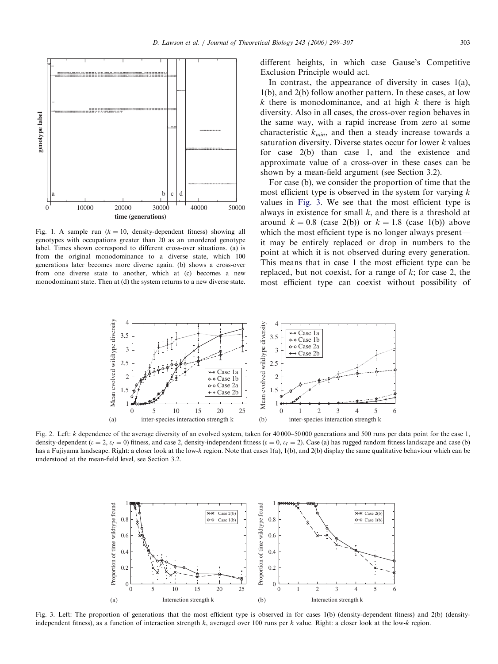<span id="page-4-0"></span>

Fig. 1. A sample run ( $k = 10$ , density-dependent fitness) showing all genotypes with occupations greater than 20 as an unordered genotype label. Times shown correspond to different cross-over situations. (a) is from the original monodominance to a diverse state, which 100 generations later becomes more diverse again. (b) shows a cross-over from one diverse state to another, which at (c) becomes a new monodominant state. Then at (d) the system returns to a new diverse state.

different heights, in which case Gause's Competitive Exclusion Principle would act.

In contrast, the appearance of diversity in cases 1(a), 1(b), and 2(b) follow another pattern. In these cases, at low  $k$  there is monodominance, and at high  $k$  there is high diversity. Also in all cases, the cross-over region behaves in the same way, with a rapid increase from zero at some characteristic  $k_{min}$ , and then a steady increase towards a saturation diversity. Diverse states occur for lower  $k$  values for case 2(b) than case 1, and the existence and approximate value of a cross-over in these cases can be shown by a mean-field argument (see Section 3.2).

For case (b), we consider the proportion of time that the most efficient type is observed in the system for varying  $k$ values in Fig. 3. We see that the most efficient type is always in existence for small  $k$ , and there is a threshold at around  $k = 0.8$  (case 2(b)) or  $k = 1.8$  (case 1(b)) above which the most efficient type is no longer always present it may be entirely replaced or drop in numbers to the point at which it is not observed during every generation. This means that in case 1 the most efficient type can be replaced, but not coexist, for a range of  $k$ ; for case 2, the most efficient type can coexist without possibility of



Fig. 2. Left: k dependence of the average diversity of an evolved system, taken for 40 000–50 000 generations and 500 runs per data point for the case 1, density-dependent ( $\varepsilon = 2$ ,  $\varepsilon_I = 0$ ) fitness, and case 2, density-independent fitness ( $\varepsilon = 0$ ,  $\varepsilon_I = 2$ ). Case (a) has rugged random fitness landscape and case (b) has a Fujiyama landscape. Right: a closer look at the low-k region. Note that cases 1(a), 1(b), and 2(b) display the same qualitative behaviour which can be understood at the mean-field level, see Section 3.2.



Fig. 3. Left: The proportion of generations that the most efficient type is observed in for cases 1(b) (density-dependent fitness) and 2(b) (densityindependent fitness), as a function of interaction strength k, averaged over 100 runs per k value. Right: a closer look at the low-k region.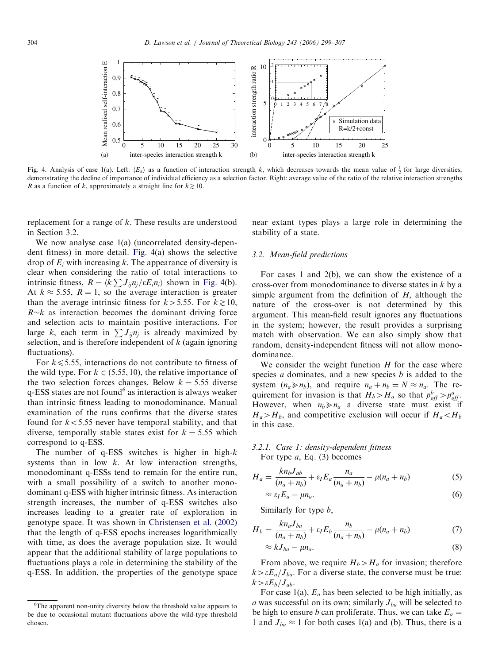

Fig. 4. Analysis of case 1(a). Left:  $\langle E_x \rangle$  as a function of interaction strength k, which decreases towards the mean value of  $\frac{1}{2}$  for large diversities, demonstrating the decline of importance of individual efficiency as a selection factor. Right: average value of the ratio of the relative interaction strengths R as a function of k, approximately a straight line for  $k \ge 10$ .

replacement for a range of k. These results are understood in Section 3.2.

We now analyse case 1(a) (uncorrelated density-dependent fitness) in more detail. Fig. 4(a) shows the selective drop of  $E_i$  with increasing k. The appearance of diversity is clear when considering the ratio of total interactions to intrinsic fitness,  $R = \langle k \sum J_{ij} n_j / \varepsilon E_i n_i \rangle$  shown in Fig. 4(b). At  $k \approx 5.55$ ,  $R = 1$ , so the average interaction is greater than the average intrinsic fitness for  $k > 5.55$ . For  $k \ge 10$ ,  $R \sim k$  as interaction becomes the dominant driving force and selection acts to maintain positive interactions. For large k, each term in  $\sum J_{ij}n_j$  is already maximized by selection, and is therefore independent of  $k$  (again ignoring fluctuations).

For  $k \leq 5.55$ , interactions do not contribute to fitness of the wild type. For  $k \in (5.55, 10)$ , the relative importance of the two selection forces changes. Below  $k = 5.55$  diverse  $q$ -ESS states are not found<sup>6</sup> as interaction is always weaker than intrinsic fitness leading to monodominance. Manual examination of the runs confirms that the diverse states found for  $k < 5.55$  never have temporal stability, and that diverse, temporally stable states exist for  $k = 5.55$  which correspond to q-ESS.

The number of  $q$ -ESS switches is higher in high- $k$ systems than in low  $k$ . At low interaction strengths, monodominant q-ESSs tend to remain for the entire run, with a small possibility of a switch to another monodominant q-ESS with higher intrinsic fitness. As interaction strength increases, the number of q-ESS switches also increases leading to a greater rate of exploration in genotype space. It was shown in [Christensen et al. \(2002\)](#page-7-0) that the length of q-ESS epochs increases logarithmically with time, as does the average population size. It would appear that the additional stability of large populations to fluctuations plays a role in determining the stability of the q-ESS. In addition, the properties of the genotype space near extant types plays a large role in determining the stability of a state.

#### 3.2. Mean-field predictions

For cases 1 and 2(b), we can show the existence of a cross-over from monodominance to diverse states in k by a simple argument from the definition of  $H$ , although the nature of the cross-over is not determined by this argument. This mean-field result ignores any fluctuations in the system; however, the result provides a surprising match with observation. We can also simply show that random, density-independent fitness will not allow monodominance.

We consider the weight function  $H$  for the case where species  $a$  dominates, and a new species  $b$  is added to the system  $(n_a \gg n_b)$ , and require  $n_a + n_b = N \approx n_a$ . The requirement for invasion is that  $H_b > H_a$  so that  $p_{off}^b > p_{off}^a$ . However, when  $n_b \gg n_a$  a diverse state must exist if  $H_a > H_b$ , and competitive exclusion will occur if  $H_a < H_b$ in this case.

### 3.2.1. Case 1: density-dependent fitness For type  $a$ , Eq. (3) becomes

$$
H_a = \frac{k n_b J_{ab}}{(n_a + n_b)} + \varepsilon_l E_a \frac{n_a}{(n_a + n_b)} - \mu(n_a + n_b)
$$
 (5)

$$
\approx \varepsilon_I E_a - \mu n_a. \tag{6}
$$

Similarly for type b,

$$
H_b = \frac{k n_a J_{ba}}{(n_a + n_b)} + \varepsilon_l E_b \frac{n_b}{(n_a + n_b)} - \mu(n_a + n_b)
$$
(7)

$$
\approx kJ_{ba} - \mu n_a. \tag{8}
$$

From above, we require  $H_b > H_a$  for invasion; therefore  $k > \varepsilon E_a/J_{ba}$ . For a diverse state, the converse must be true:  $k > \varepsilon E_b/J_{ab}.$ 

For case 1(a),  $E_a$  has been selected to be high initially, as a was successful on its own; similarly  $J_{ba}$  will be selected to be high to ensure b can proliferate. Thus, we can take  $E_a =$ 1 and  $J_{ba} \approx 1$  for both cases 1(a) and (b). Thus, there is a

<sup>&</sup>lt;sup>6</sup>The apparent non-unity diversity below the threshold value appears to be due to occasional mutant fluctuations above the wild-type threshold chosen.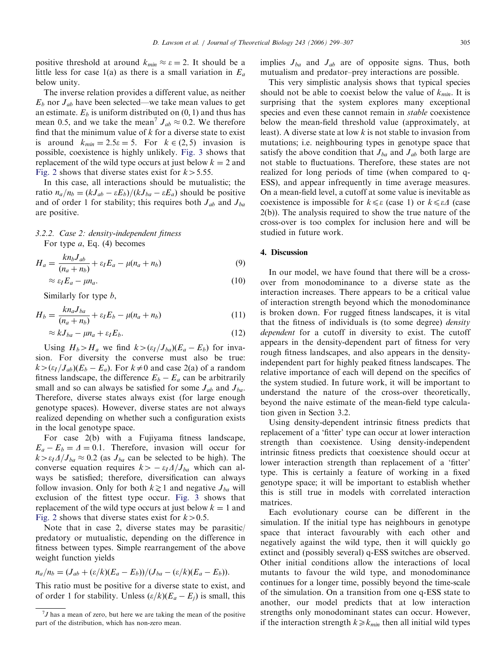positive threshold at around  $k_{min} \approx \varepsilon = 2$ . It should be a little less for case 1(a) as there is a small variation in  $E_a$ below unity.

The inverse relation provides a different value, as neither  $E_b$  nor  $J_{ab}$  have been selected—we take mean values to get an estimate.  $E_b$  is uniform distributed on  $(0, 1)$  and thus has mean 0.5, and we take the mean<sup>7</sup>  $J_{ab} \approx 0.2$ . We therefore find that the minimum value of  $k$  for a diverse state to exist is around  $k_{min} = 2.5\varepsilon = 5$ . For  $k \in (2, 5)$  invasion is possible, coexistence is highly unlikely. [Fig. 3](#page-4-0) shows that replacement of the wild type occurs at just below  $k = 2$  and [Fig. 2](#page-4-0) shows that diverse states exist for  $k > 5.55$ .

In this case, all interactions should be mutualistic; the ratio  $n_a/n_b = (kJ_{ab} - \varepsilon E_b)/(kJ_{ba} - \varepsilon E_a)$  should be positive and of order 1 for stability; this requires both  $J_{ab}$  and  $J_{ba}$ are positive.

## 3.2.2. Case 2: density-independent fitness

For type a, Eq. (4) becomes

$$
H_a = \frac{k n_b J_{ab}}{(n_a + n_b)} + \varepsilon_l E_a - \mu (n_a + n_b)
$$
\n(9)

$$
\approx \varepsilon_I E_a - \mu n_a. \tag{10}
$$

Similarly for type b,

$$
H_b = \frac{kn_aJ_{ba}}{(n_a+n_b)} + \varepsilon_l E_b - \mu(n_a+n_b)
$$
\n(11)

$$
\approx kJ_{ba} - \mu n_a + \varepsilon_I E_b. \tag{12}
$$

Using  $H_b > H_a$  we find  $k > (\varepsilon_I / J_{ba})(E_a - E_b)$  for invasion. For diversity the converse must also be true:  $k>(\epsilon_I/J_{ab})(E_b - E_a)$ . For  $k\neq 0$  and case 2(a) of a random fitness landscape, the difference  $E_b - E_a$  can be arbitrarily small and so can always be satisfied for some  $J_{ab}$  and  $J_{ba}$ . Therefore, diverse states always exist (for large enough genotype spaces). However, diverse states are not always realized depending on whether such a configuration exists in the local genotype space.

For case 2(b) with a Fujiyama fitness landscape,  $E_a - E_b = \Delta = 0.1$ . Therefore, invasion will occur for  $k > \varepsilon_I \Delta / J_{ba} \approx 0.2$  (as  $J_{ba}$  can be selected to be high). The converse equation requires  $k > -\varepsilon_{I}A/J_{ba}$  which can always be satisfied; therefore, diversification can always follow invasion. Only for both  $k\geq 1$  and negative  $J_{ba}$  will exclusion of the fittest type occur. [Fig. 3](#page-4-0) shows that replacement of the wild type occurs at just below  $k = 1$  and [Fig. 2](#page-4-0) shows that diverse states exist for  $k > 0.5$ .

Note that in case 2, diverse states may be parasitic/ predatory or mutualistic, depending on the difference in fitness between types. Simple rearrangement of the above weight function yields

$$
n_a/n_b = (J_{ab} + (\varepsilon/k)(E_a - E_b))/(J_{ba} - (\varepsilon/k)(E_a - E_b)).
$$

This ratio must be positive for a diverse state to exist, and of order 1 for stability. Unless  $(\varepsilon/k)(E_a - E_j)$  is small, this implies  $J_{ba}$  and  $J_{ab}$  are of opposite signs. Thus, both mutualism and predator–prey interactions are possible.

This very simplistic analysis shows that typical species should not be able to coexist below the value of  $k_{min}$ . It is surprising that the system explores many exceptional species and even these cannot remain in stable coexistence below the mean-field threshold value (approximately, at least). A diverse state at low  $k$  is not stable to invasion from mutations; i.e. neighbouring types in genotype space that satisfy the above condition that  $J_{ba}$  and  $J_{ab}$  both large are not stable to fluctuations. Therefore, these states are not realized for long periods of time (when compared to q-ESS), and appear infrequently in time average measures. On a mean-field level, a cutoff at some value is inevitable as coexistence is impossible for  $k \leq \varepsilon$  (case 1) or  $k \leq \varepsilon \Delta$  (case 2(b)). The analysis required to show the true nature of the cross-over is too complex for inclusion here and will be studied in future work.

#### 4. Discussion

In our model, we have found that there will be a crossover from monodominance to a diverse state as the interaction increases. There appears to be a critical value of interaction strength beyond which the monodominance is broken down. For rugged fitness landscapes, it is vital that the fitness of individuals is (to some degree) density dependent for a cutoff in diversity to exist. The cutoff appears in the density-dependent part of fitness for very rough fitness landscapes, and also appears in the densityindependent part for highly peaked fitness landscapes. The relative importance of each will depend on the specifics of the system studied. In future work, it will be important to understand the nature of the cross-over theoretically, beyond the naive estimate of the mean-field type calculation given in Section 3.2.

Using density-dependent intrinsic fitness predicts that replacement of a 'fitter' type can occur at lower interaction strength than coexistence. Using density-independent intrinsic fitness predicts that coexistence should occur at lower interaction strength than replacement of a 'fitter' type. This is certainly a feature of working in a fixed genotype space; it will be important to establish whether this is still true in models with correlated interaction matrices.

Each evolutionary course can be different in the simulation. If the initial type has neighbours in genotype space that interact favourably with each other and negatively against the wild type, then it will quickly go extinct and (possibly several) q-ESS switches are observed. Other initial conditions allow the interactions of local mutants to favour the wild type, and monodominance continues for a longer time, possibly beyond the time-scale of the simulation. On a transition from one q-ESS state to another, our model predicts that at low interaction strengths only monodominant states can occur. However, if the interaction strength  $k \ge k_{min}$  then all initial wild types

 $7J$  has a mean of zero, but here we are taking the mean of the positive part of the distribution, which has non-zero mean.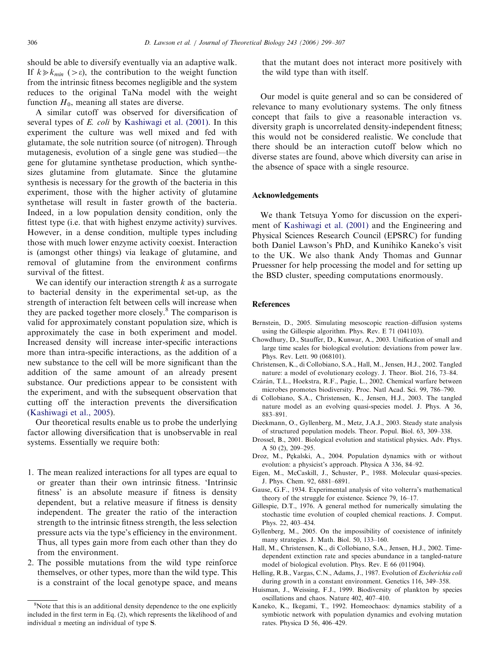<span id="page-7-0"></span>should be able to diversify eventually via an adaptive walk. If  $k \ge k_{min}$  ( $>\varepsilon$ ), the contribution to the weight function from the intrinsic fitness becomes negligible and the system reduces to the original TaNa model with the weight function  $H_0$ , meaning all states are diverse.

A similar cutoff was observed for diversification of several types of E. coli by [Kashiwagi et al. \(2001\)](#page-8-0). In this experiment the culture was well mixed and fed with glutamate, the sole nutrition source (of nitrogen). Through mutagenesis, evolution of a single gene was studied—the gene for glutamine synthetase production, which synthesizes glutamine from glutamate. Since the glutamine synthesis is necessary for the growth of the bacteria in this experiment, those with the higher activity of glutamine synthetase will result in faster growth of the bacteria. Indeed, in a low population density condition, only the fittest type (i.e. that with highest enzyme activity) survives. However, in a dense condition, multiple types including those with much lower enzyme activity coexist. Interaction is (amongst other things) via leakage of glutamine, and removal of glutamine from the environment confirms survival of the fittest.

We can identify our interaction strength  $k$  as a surrogate to bacterial density in the experimental set-up, as the strength of interaction felt between cells will increase when they are packed together more closely.<sup>8</sup> The comparison is valid for approximately constant population size, which is approximately the case in both experiment and model. Increased density will increase inter-specific interactions more than intra-specific interactions, as the addition of a new substance to the cell will be more significant than the addition of the same amount of an already present substance. Our predictions appear to be consistent with the experiment, and with the subsequent observation that cutting off the interaction prevents the diversification [\(Kashiwagi et al., 2005\)](#page-8-0).

Our theoretical results enable us to probe the underlying factor allowing diversification that is unobservable in real systems. Essentially we require both:

- 1. The mean realized interactions for all types are equal to or greater than their own intrinsic fitness. 'Intrinsic fitness' is an absolute measure if fitness is density dependent, but a relative measure if fitness is density independent. The greater the ratio of the interaction strength to the intrinsic fitness strength, the less selection pressure acts via the type's efficiency in the environment. Thus, all types gain more from each other than they do from the environment.
- 2. The possible mutations from the wild type reinforce themselves, or other types, more than the wild type. This is a constraint of the local genotype space, and means

that the mutant does not interact more positively with the wild type than with itself.

Our model is quite general and so can be considered of relevance to many evolutionary systems. The only fitness concept that fails to give a reasonable interaction vs. diversity graph is uncorrelated density-independent fitness; this would not be considered realistic. We conclude that there should be an interaction cutoff below which no diverse states are found, above which diversity can arise in the absence of space with a single resource.

#### Acknowledgements

We thank Tetsuya Yomo for discussion on the experiment of [Kashiwagi et al. \(2001\)](#page-8-0) and the Engineering and Physical Sciences Research Council (EPSRC) for funding both Daniel Lawson's PhD, and Kunihiko Kaneko's visit to the UK. We also thank Andy Thomas and Gunnar Pruessner for help processing the model and for setting up the BSD cluster, speeding computations enormously.

#### References

- Bernstein, D., 2005. Simulating mesoscopic reaction–diffusion systems using the Gillespie algorithm. Phys. Rev. E 71 (041103).
- Chowdhury, D., Stauffer, D., Kunwar, A., 2003. Unification of small and large time scales for biological evolution: deviations from power law. Phys. Rev. Lett. 90 (068101).
- Christensen, K., di Collobiano, S.A., Hall, M., Jensen, H.J., 2002. Tangled nature: a model of evolutionary ecology. J. Theor. Biol. 216, 73–84.
- Czárán, T.L., Hoekstra, R.F., Pagie, L., 2002. Chemical warfare between microbes promotes biodiversity. Proc. Natl Acad. Sci. 99, 786–790.
- di Collobiano, S.A., Christensen, K., Jensen, H.J., 2003. The tangled nature model as an evolving quasi-species model. J. Phys. A 36, 883–891.
- Dieckmann, O., Gyllenberg, M., Metz, J.A.J., 2003. Steady state analysis of structured population models. Theor. Popul. Biol. 63, 309–338.
- Drossel, B., 2001. Biological evolution and statistical physics. Adv. Phys. A 50 (2), 209–295.
- Droz, M., Pękalski, A., 2004. Population dynamics with or without evolution: a physicist's approach. Physica A 336, 84–92.
- Eigen, M., McCaskill, J., Schuster, P., 1988. Molecular quasi-species. J. Phys. Chem. 92, 6881–6891.
- Gause, G.F., 1934. Experimental analysis of vito volterra's mathematical theory of the struggle for existence. Science 79, 16–17.
- Gillespie, D.T., 1976. A general method for numerically simulating the stochastic time evolution of coupled chemical reactions. J. Comput. Phys. 22, 403–434.
- Gyllenberg, M., 2005. On the impossibility of coexistence of infinitely many strategies. J. Math. Biol. 50, 133–160.
- Hall, M., Christensen, K., di Collobiano, S.A., Jensen, H.J., 2002. Timedependent extinction rate and species abundance in a tangled-nature model of biological evolution. Phys. Rev. E 66 (011904).
- Helling, R.B., Vargas, C.N., Adams, J., 1987. Evolution of Escherichia coli during growth in a constant environment. Genetics 116, 349–358.
- Huisman, J., Weissing, F.J., 1999. Biodiversity of plankton by species oscillations and chaos. Nature 402, 407–410.
- Kaneko, K., Ikegami, T., 1992. Homeochaos: dynamics stability of a symbiotic network with population dynamics and evolving mutation rates. Physica D 56, 406–429.

<sup>&</sup>lt;sup>8</sup>Note that this is an additional density dependence to the one explicitly included in the first term in Eq. (2), which represents the likelihood of and individual  $\alpha$  meeting an individual of type **S**.